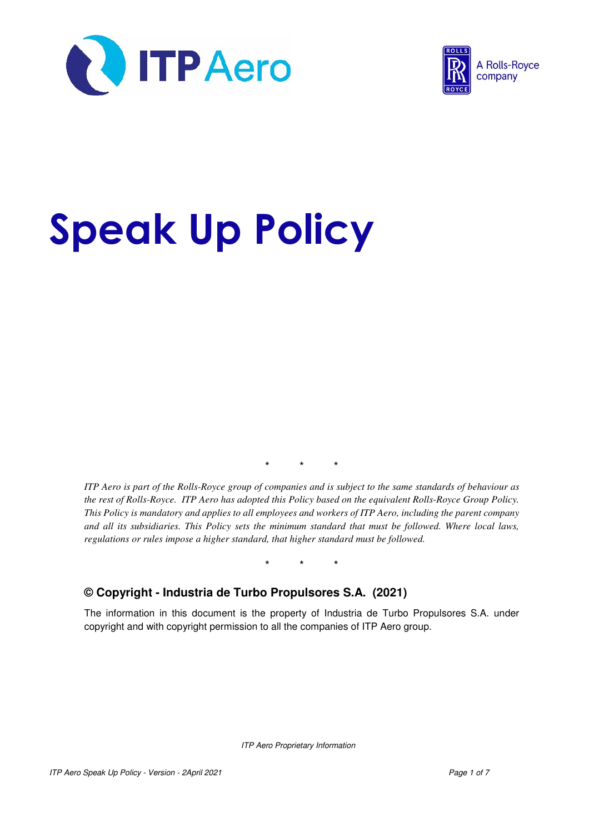



# Speak Up Policy

\* \* \*

*ITP Aero is part of the Rolls-Royce group of companies and is subject to the same standards of behaviour as the rest of Rolls-Royce. ITP Aero has adopted this Policy based on the equivalent Rolls-Royce Group Policy. This Policy is mandatory and applies to all employees and workers of ITP Aero, including the parent company and all its subsidiaries. This Policy sets the minimum standard that must be followed. Where local laws, regulations or rules impose a higher standard, that higher standard must be followed.* 

\* \* \*

#### **© Copyright - Industria de Turbo Propulsores S.A. (2021)**

The information in this document is the property of Industria de Turbo Propulsores S.A. under copyright and with copyright permission to all the companies of ITP Aero group.

ITP Aero Proprietary Information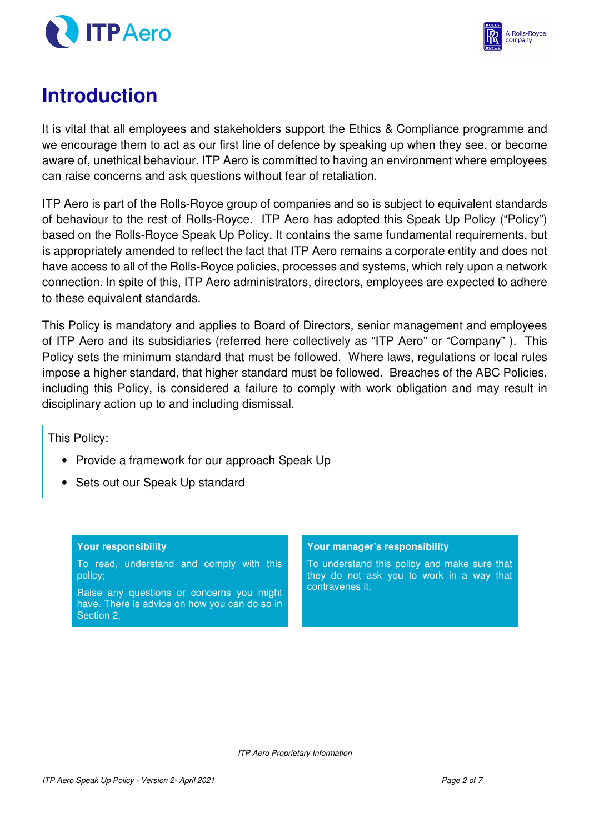



# **Introduction**

It is vital that all employees and stakeholders support the Ethics & Compliance programme and we encourage them to act as our first line of defence by speaking up when they see, or become aware of, unethical behaviour. ITP Aero is committed to having an environment where employees can raise concerns and ask questions without fear of retaliation.

ITP Aero is part of the Rolls-Royce group of companies and so is subject to equivalent standards of behaviour to the rest of Rolls-Royce. ITP Aero has adopted this Speak Up Policy ("Policy") based on the Rolls-Royce Speak Up Policy. It contains the same fundamental requirements, but is appropriately amended to reflect the fact that ITP Aero remains a corporate entity and does not have access to all of the Rolls-Royce policies, processes and systems, which rely upon a network connection. In spite of this, ITP Aero administrators, directors, employees are expected to adhere to these equivalent standards.

This Policy is mandatory and applies to Board of Directors, senior management and employees of ITP Aero and its subsidiaries (referred here collectively as "ITP Aero" or "Company" ). This Policy sets the minimum standard that must be followed. Where laws, regulations or local rules impose a higher standard, that higher standard must be followed. Breaches of the ABC Policies, including this Policy, is considered a failure to comply with work obligation and may result in disciplinary action up to and including dismissal.

This Policy:

- Provide a framework for our approach Speak Up
- Sets out our Speak Up standard

#### **Your responsibility**

To read, understand and comply with this policy;

Raise any questions or concerns you might have. There is advice on how you can do so in Section 2.

#### **Your manager's responsibility**

To understand this policy and make sure that they do not ask you to work in a way that contravenes it.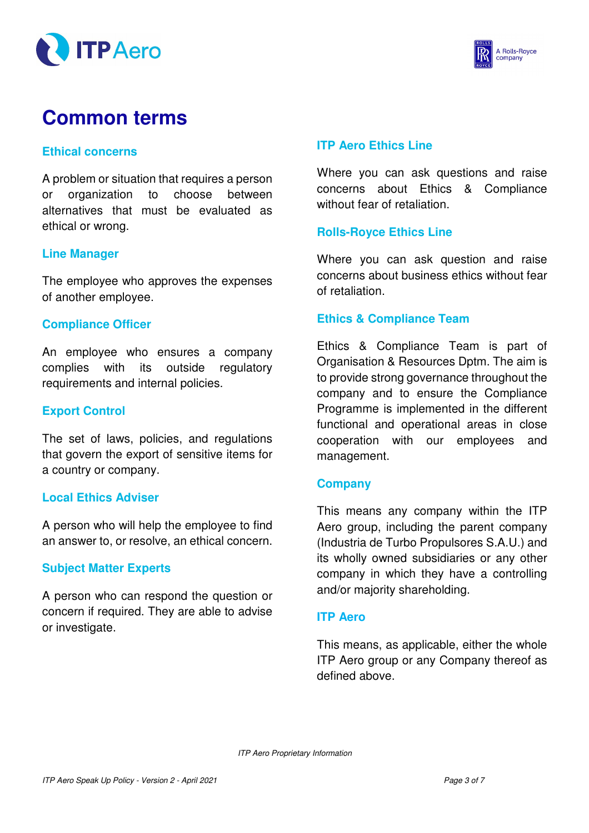



# **Common terms**

#### **Ethical concerns**

A problem or situation that requires a person or organization to choose between alternatives that must be evaluated as ethical or wrong.

#### **Line Manager**

The employee who approves the expenses of another employee.

#### **Compliance Officer**

An employee who ensures a company complies with its outside regulatory requirements and internal policies.

#### **Export Control**

The set of laws, policies, and regulations that govern the export of sensitive items for a country or company.

#### **Local Ethics Adviser**

A person who will help the employee to find an answer to, or resolve, an ethical concern.

#### **Subject Matter Experts**

A person who can respond the question or concern if required. They are able to advise or investigate.

#### **ITP Aero Ethics Line**

Where you can ask questions and raise concerns about Ethics & Compliance without fear of retaliation.

#### **Rolls-Royce Ethics Line**

Where you can ask question and raise concerns about business ethics without fear of retaliation.

#### **Ethics & Compliance Team**

Ethics & Compliance Team is part of Organisation & Resources Dptm. The aim is to provide strong governance throughout the company and to ensure the Compliance Programme is implemented in the different functional and operational areas in close cooperation with our employees and management.

#### **Company**

This means any company within the ITP Aero group, including the parent company (Industria de Turbo Propulsores S.A.U.) and its wholly owned subsidiaries or any other company in which they have a controlling and/or majority shareholding.

#### **ITP Aero**

This means, as applicable, either the whole ITP Aero group or any Company thereof as defined above.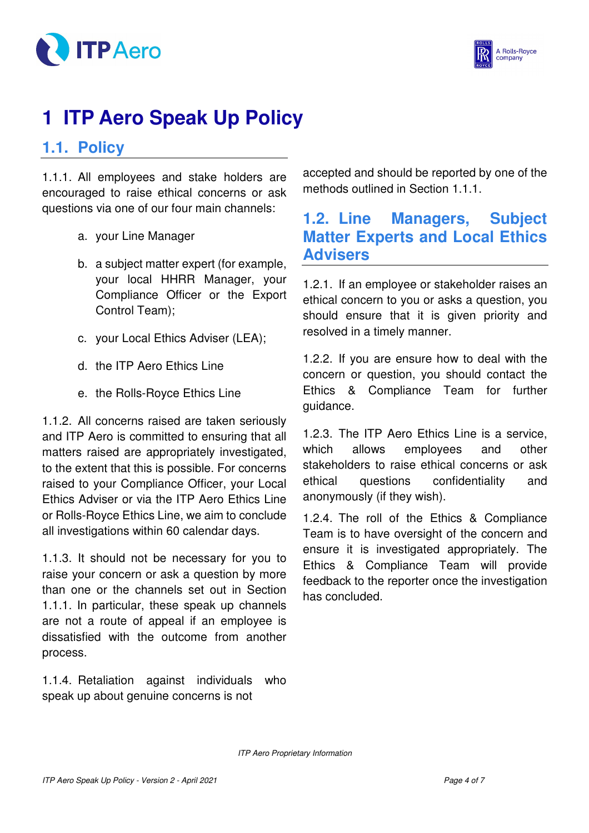



# **1 ITP Aero Speak Up Policy**

### **1.1. Policy**

1.1.1. All employees and stake holders are encouraged to raise ethical concerns or ask questions via one of our four main channels:

- a. your Line Manager
- b. a subject matter expert (for example, your local HHRR Manager, your Compliance Officer or the Export Control Team);
- c. your Local Ethics Adviser (LEA);
- d. the ITP Aero Ethics Line
- e. the Rolls-Royce Ethics Line

1.1.2. All concerns raised are taken seriously and ITP Aero is committed to ensuring that all matters raised are appropriately investigated, to the extent that this is possible. For concerns raised to your Compliance Officer, your Local Ethics Adviser or via the ITP Aero Ethics Line or Rolls-Royce Ethics Line, we aim to conclude all investigations within 60 calendar days.

1.1.3. It should not be necessary for you to raise your concern or ask a question by more than one or the channels set out in Section 1.1.1. In particular, these speak up channels are not a route of appeal if an employee is dissatisfied with the outcome from another process.

1.1.4. Retaliation against individuals who speak up about genuine concerns is not

accepted and should be reported by one of the methods outlined in Section 1.1.1.

## **1.2. Line Managers, Subject Matter Experts and Local Ethics Advisers**

1.2.1. If an employee or stakeholder raises an ethical concern to you or asks a question, you should ensure that it is given priority and resolved in a timely manner.

1.2.2. If you are ensure how to deal with the concern or question, you should contact the Ethics & Compliance Team for further guidance.

1.2.3. The ITP Aero Ethics Line is a service, which allows employees and other stakeholders to raise ethical concerns or ask ethical questions confidentiality and anonymously (if they wish).

1.2.4. The roll of the Ethics & Compliance Team is to have oversight of the concern and ensure it is investigated appropriately. The Ethics & Compliance Team will provide feedback to the reporter once the investigation has concluded.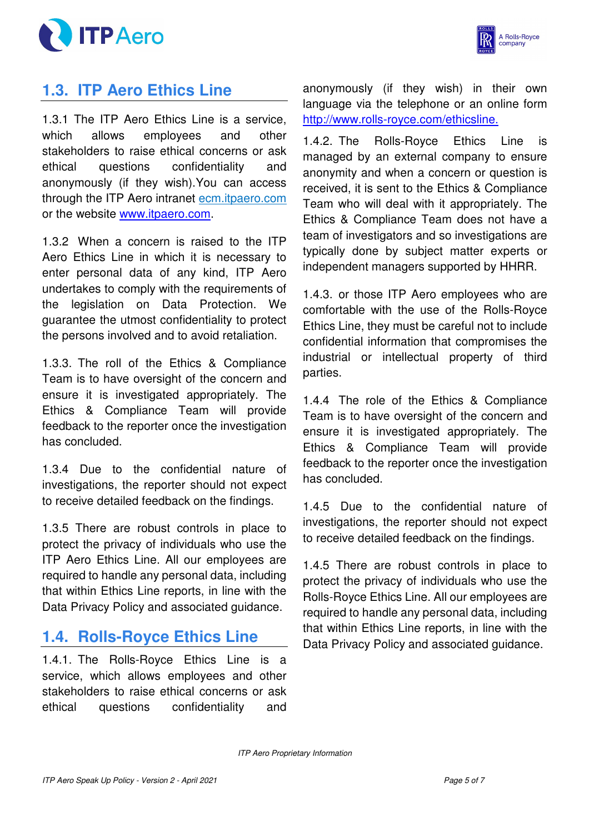



# **1.3. ITP Aero Ethics Line**

1.3.1 The ITP Aero Ethics Line is a service, which allows employees and other stakeholders to raise ethical concerns or ask ethical questions confidentiality and anonymously (if they wish).You can access through the ITP Aero intranet ecm.itpaero.com or the website www.itpaero.com.

1.3.2 When a concern is raised to the ITP Aero Ethics Line in which it is necessary to enter personal data of any kind, ITP Aero undertakes to comply with the requirements of the legislation on Data Protection. We guarantee the utmost confidentiality to protect the persons involved and to avoid retaliation.

1.3.3. The roll of the Ethics & Compliance Team is to have oversight of the concern and ensure it is investigated appropriately. The Ethics & Compliance Team will provide feedback to the reporter once the investigation has concluded.

1.3.4 Due to the confidential nature of investigations, the reporter should not expect to receive detailed feedback on the findings.

1.3.5 There are robust controls in place to protect the privacy of individuals who use the ITP Aero Ethics Line. All our employees are required to handle any personal data, including that within Ethics Line reports, in line with the Data Privacy Policy and associated guidance.

## **1.4. Rolls-Royce Ethics Line**

1.4.1. The Rolls-Royce Ethics Line is a service, which allows employees and other stakeholders to raise ethical concerns or ask ethical questions confidentiality and anonymously (if they wish) in their own language via the telephone or an online form http://www.rolls-royce.com/ethicsline.

1.4.2. The Rolls-Royce Ethics Line is managed by an external company to ensure anonymity and when a concern or question is received, it is sent to the Ethics & Compliance Team who will deal with it appropriately. The Ethics & Compliance Team does not have a team of investigators and so investigations are typically done by subject matter experts or independent managers supported by HHRR.

1.4.3. or those ITP Aero employees who are comfortable with the use of the Rolls-Royce Ethics Line, they must be careful not to include confidential information that compromises the industrial or intellectual property of third parties.

1.4.4 The role of the Ethics & Compliance Team is to have oversight of the concern and ensure it is investigated appropriately. The Ethics & Compliance Team will provide feedback to the reporter once the investigation has concluded.

1.4.5 Due to the confidential nature of investigations, the reporter should not expect to receive detailed feedback on the findings.

1.4.5 There are robust controls in place to protect the privacy of individuals who use the Rolls-Royce Ethics Line. All our employees are required to handle any personal data, including that within Ethics Line reports, in line with the Data Privacy Policy and associated guidance.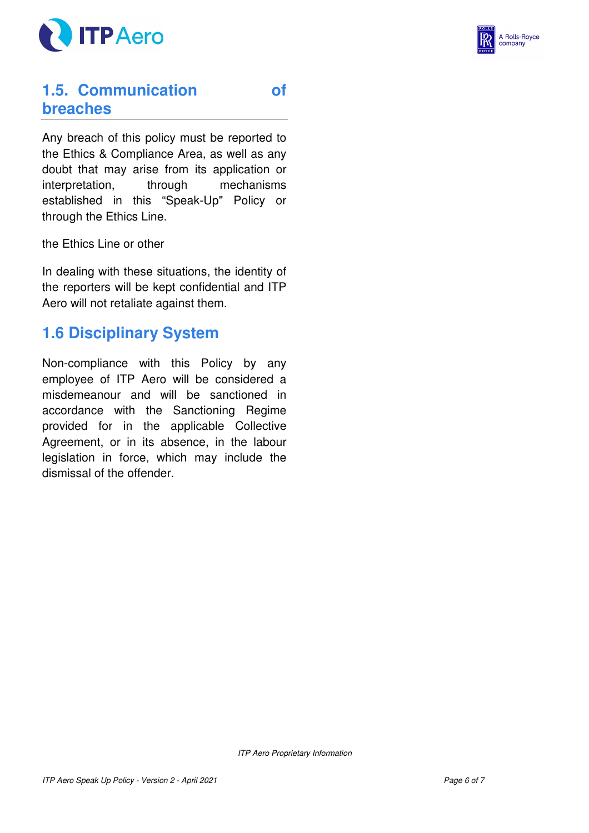



## **1.5. Communication of breaches**

Any breach of this policy must be reported to the Ethics & Compliance Area, as well as any doubt that may arise from its application or interpretation, through mechanisms established in this "Speak-Up" Policy or through the Ethics Line.

the Ethics Line or other

In dealing with these situations, the identity of the reporters will be kept confidential and ITP Aero will not retaliate against them.

## **1.6 Disciplinary System**

Non-compliance with this Policy by any employee of ITP Aero will be considered a misdemeanour and will be sanctioned in accordance with the Sanctioning Regime provided for in the applicable Collective Agreement, or in its absence, in the labour legislation in force, which may include the dismissal of the offender.